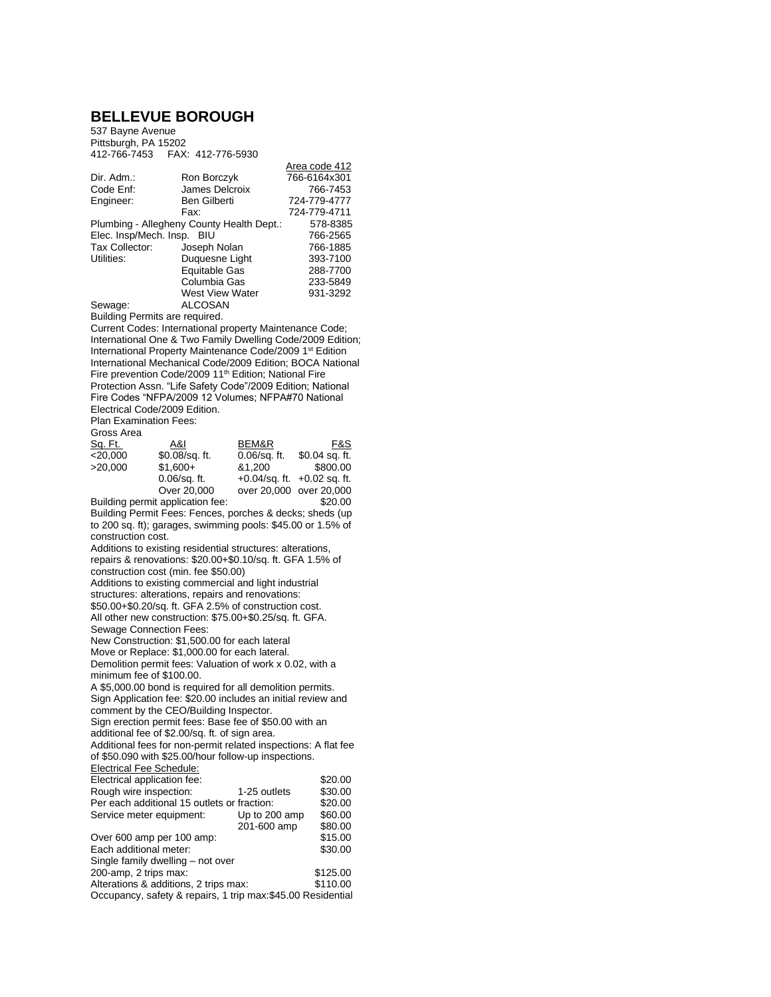## **BELLEVUE BOROUGH**

537 Bayne Avenue Pittsburgh, PA 15202 412-766-7453 FAX: 412-776-5930

|                                           |                        | AIGA CUUG 414 |
|-------------------------------------------|------------------------|---------------|
| Dir. Adm.:                                | Ron Borczyk            | 766-6164x301  |
| Code Enf:                                 | James Delcroix         | 766-7453      |
| Engineer:                                 | Ben Gilberti           | 724-779-4777  |
|                                           | Fax:                   | 724-779-4711  |
| Plumbing - Allegheny County Health Dept.: | 578-8385               |               |
| Elec. Insp/Mech. Insp. BIU                | 766-2565               |               |
| Tax Collector:                            | Joseph Nolan           | 766-1885      |
| Utilities:                                | Duquesne Light         | 393-7100      |
|                                           | Equitable Gas          | 288-7700      |
|                                           | Columbia Gas           | 233-5849      |
|                                           | <b>West View Water</b> | 931-3292      |
| Sewage:                                   | ALCOSAN                |               |

 $Area$  code 412

Building Permits are required.

Current Codes: International property Maintenance Code; International One & Two Family Dwelling Code/2009 Edition; International Property Maintenance Code/2009 1st Edition International Mechanical Code/2009 Edition; BOCA National Fire prevention Code/2009 11<sup>th</sup> Edition; National Fire Protection Assn. "Life Safety Code"/2009 Edition; National Fire Codes "NFPA/2009 12 Volumes; NFPA#70 National Electrical Code/2009 Edition.

Plan Examination Fees:

| Gross Area |                                     |                 |                                  |
|------------|-------------------------------------|-----------------|----------------------------------|
| Sq. Ft.    | A&I                                 | BEM&R           | F&S                              |
| $<$ 20.000 | \$0.08/sq. ft.                      | $0.06$ /sq. ft. | $$0.04$ sq. ft.                  |
| >20.000    | $$1.600+$                           | &1.200          | \$800.00                         |
|            | $0.06$ /sq. ft.                     |                 | $+0.04$ /sq. ft. $+0.02$ sq. ft. |
|            | Over 20,000                         |                 | over 20,000 over 20,000          |
|            | Dullalla a magaalt amallaatlaa faar |                 | ma aa                            |

Building permit application fee: \$20.00 Building Permit Fees: Fences, porches & decks; sheds (up to 200 sq. ft); garages, swimming pools: \$45.00 or 1.5% of construction cost. Additions to existing residential structures: alterations, repairs & renovations: \$20.00+\$0.10/sq. ft. GFA 1.5% of construction cost (min. fee \$50.00) Additions to existing commercial and light industrial structures: alterations, repairs and renovations: \$50.00+\$0.20/sq. ft. GFA 2.5% of construction cost. All other new construction: \$75.00+\$0.25/sq. ft. GFA. Sewage Connection Fees: New Construction: \$1,500.00 for each lateral Move or Replace: \$1,000.00 for each lateral. Demolition permit fees: Valuation of work x 0.02, with a minimum fee of \$100.00. A \$5,000.00 bond is required for all demolition permits. Sign Application fee: \$20.00 includes an initial review and comment by the CEO/Building Inspector. Sign erection permit fees: Base fee of \$50.00 with an additional fee of \$2.00/sq. ft. of sign area. Additional fees for non-permit related inspections: A flat fee of \$50.090 with \$25.00/hour follow-up inspections. Electrical Fee Schedule: Electrical application fee:  $$20.00$ <br>Rough wire inspection:  $1-25$  outlets  $$30.00$ Rough wire inspection: 1-25 outlets \$30.00<br>Per each additional 15 outlets or fraction: \$20.00 Per each additional 15 outlets or fraction: Service meter equipment: Up to 200 amp \$60.00 201-600 amp \$80.00 Over 600 amp per 100 amp: \$15.00<br>
Each additional meter: \$30.00 Each additional meter: Single family dwelling – not over

200-amp, 2 trips max: \$125.00 Alterations & additions, 2 trips max: \$110.00 Occupancy, safety & repairs, 1 trip max:\$45.00 Residential